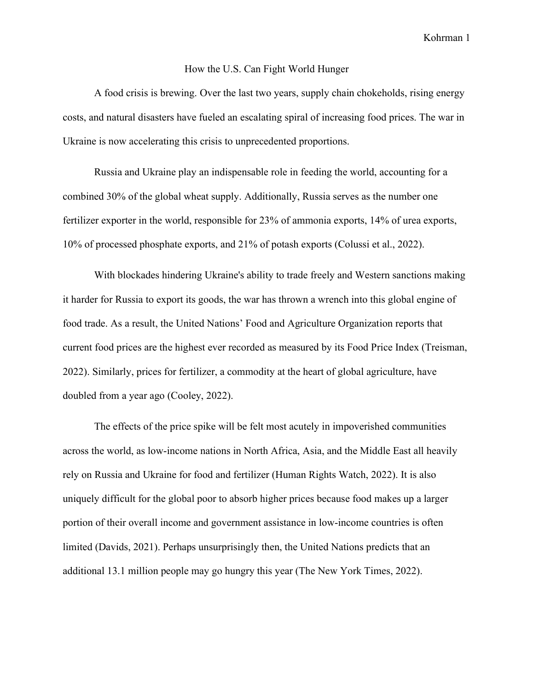Kohrman 1

## How the U.S. Can Fight World Hunger

A food crisis is brewing. Over the last two years, supply chain chokeholds, rising energy costs, and natural disasters have fueled an escalating spiral of increasing food prices. The war in Ukraine is now accelerating this crisis to unprecedented proportions.

Russia and Ukraine play an indispensable role in feeding the world, accounting for a combined 30% of the global wheat supply. Additionally, Russia serves as the number one fertilizer exporter in the world, responsible for 23% of ammonia exports, 14% of urea exports, 10% of processed phosphate exports, and 21% of potash exports (Colussi et al., 2022).

With blockades hindering Ukraine's ability to trade freely and Western sanctions making it harder for Russia to export its goods, the war has thrown a wrench into this global engine of food trade. As a result, the United Nations' Food and Agriculture Organization reports that current food prices are the highest ever recorded as measured by its Food Price Index (Treisman, 2022). Similarly, prices for fertilizer, a commodity at the heart of global agriculture, have doubled from a year ago (Cooley, 2022).

The effects of the price spike will be felt most acutely in impoverished communities across the world, as low-income nations in North Africa, Asia, and the Middle East all heavily rely on Russia and Ukraine for food and fertilizer (Human Rights Watch, 2022). It is also uniquely difficult for the global poor to absorb higher prices because food makes up a larger portion of their overall income and government assistance in low-income countries is often limited (Davids, 2021). Perhaps unsurprisingly then, the United Nations predicts that an additional 13.1 million people may go hungry this year (The New York Times, 2022).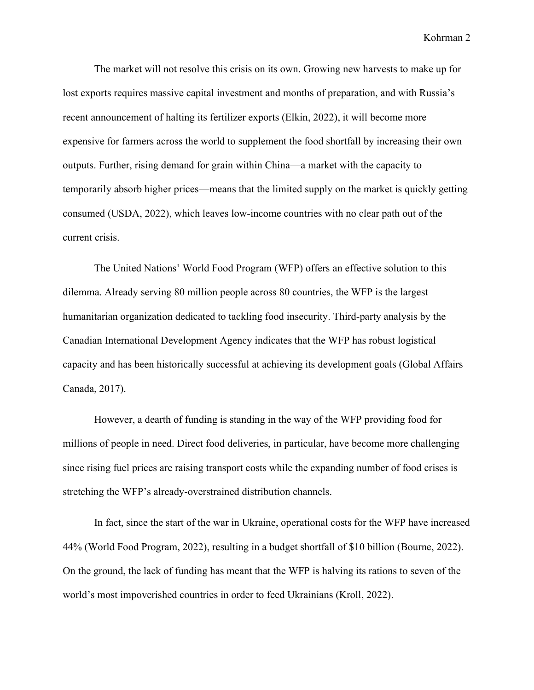Kohrman 2

The market will not resolve this crisis on its own. Growing new harvests to make up for lost exports requires massive capital investment and months of preparation, and with Russia's recent announcement of halting its fertilizer exports (Elkin, 2022), it will become more expensive for farmers across the world to supplement the food shortfall by increasing their own outputs. Further, rising demand for grain within China—a market with the capacity to temporarily absorb higher prices—means that the limited supply on the market is quickly getting consumed (USDA, 2022), which leaves low-income countries with no clear path out of the current crisis.

The United Nations' World Food Program (WFP) offers an effective solution to this dilemma. Already serving 80 million people across 80 countries, the WFP is the largest humanitarian organization dedicated to tackling food insecurity. Third-party analysis by the Canadian International Development Agency indicates that the WFP has robust logistical capacity and has been historically successful at achieving its development goals (Global Affairs Canada, 2017).

However, a dearth of funding is standing in the way of the WFP providing food for millions of people in need. Direct food deliveries, in particular, have become more challenging since rising fuel prices are raising transport costs while the expanding number of food crises is stretching the WFP's already-overstrained distribution channels.

In fact, since the start of the war in Ukraine, operational costs for the WFP have increased 44% (World Food Program, 2022), resulting in a budget shortfall of \$10 billion (Bourne, 2022). On the ground, the lack of funding has meant that the WFP is halving its rations to seven of the world's most impoverished countries in order to feed Ukrainians (Kroll, 2022).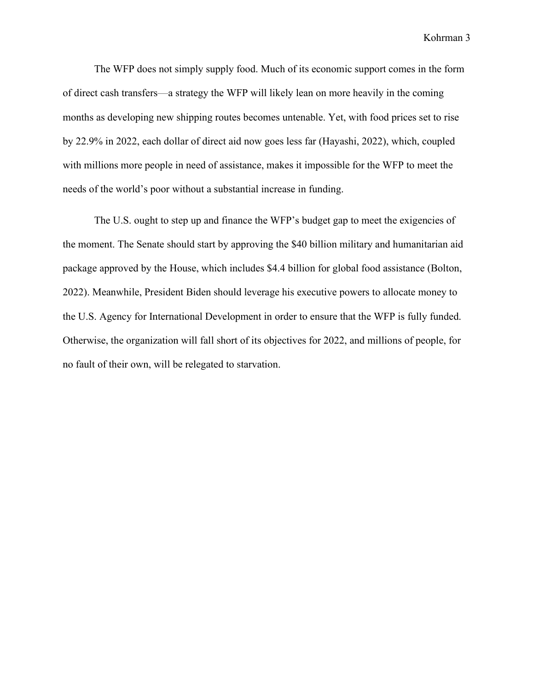Kohrman 3

The WFP does not simply supply food. Much of its economic support comes in the form of direct cash transfers—a strategy the WFP will likely lean on more heavily in the coming months as developing new shipping routes becomes untenable. Yet, with food prices set to rise by 22.9% in 2022, each dollar of direct aid now goes less far (Hayashi, 2022), which, coupled with millions more people in need of assistance, makes it impossible for the WFP to meet the needs of the world's poor without a substantial increase in funding.

The U.S. ought to step up and finance the WFP's budget gap to meet the exigencies of the moment. The Senate should start by approving the \$40 billion military and humanitarian aid package approved by the House, which includes \$4.4 billion for global food assistance (Bolton, 2022). Meanwhile, President Biden should leverage his executive powers to allocate money to the U.S. Agency for International Development in order to ensure that the WFP is fully funded. Otherwise, the organization will fall short of its objectives for 2022, and millions of people, for no fault of their own, will be relegated to starvation.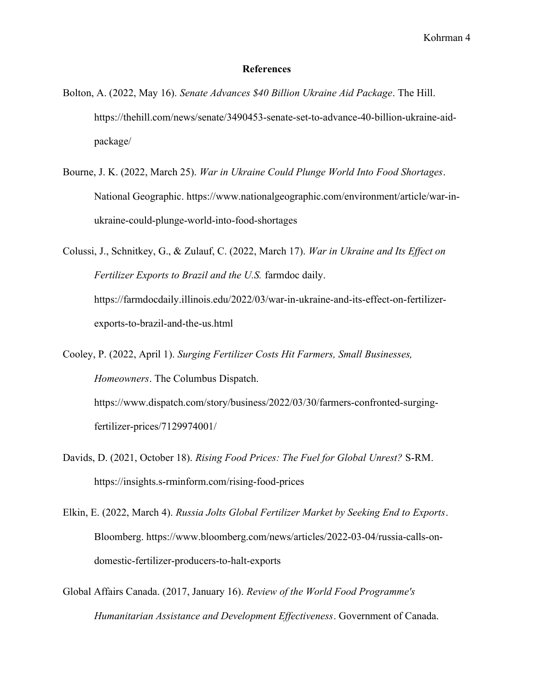## References

- Bolton, A. (2022, May 16). Senate Advances \$40 Billion Ukraine Aid Package. The Hill. https://thehill.com/news/senate/3490453-senate-set-to-advance-40-billion-ukraine-aidpackage/
- Bourne, J. K. (2022, March 25). War in Ukraine Could Plunge World Into Food Shortages. National Geographic. https://www.nationalgeographic.com/environment/article/war-inukraine-could-plunge-world-into-food-shortages

Colussi, J., Schnitkey, G., & Zulauf, C. (2022, March 17). War in Ukraine and Its Effect on Fertilizer Exports to Brazil and the U.S. farmdoc daily. https://farmdocdaily.illinois.edu/2022/03/war-in-ukraine-and-its-effect-on-fertilizerexports-to-brazil-and-the-us.html

Cooley, P. (2022, April 1). Surging Fertilizer Costs Hit Farmers, Small Businesses, Homeowners. The Columbus Dispatch. https://www.dispatch.com/story/business/2022/03/30/farmers-confronted-surgingfertilizer-prices/7129974001/

- Davids, D. (2021, October 18). Rising Food Prices: The Fuel for Global Unrest? S-RM. https://insights.s-rminform.com/rising-food-prices
- Elkin, E. (2022, March 4). Russia Jolts Global Fertilizer Market by Seeking End to Exports. Bloomberg. https://www.bloomberg.com/news/articles/2022-03-04/russia-calls-ondomestic-fertilizer-producers-to-halt-exports
- Global Affairs Canada. (2017, January 16). Review of the World Food Programme's Humanitarian Assistance and Development Effectiveness. Government of Canada.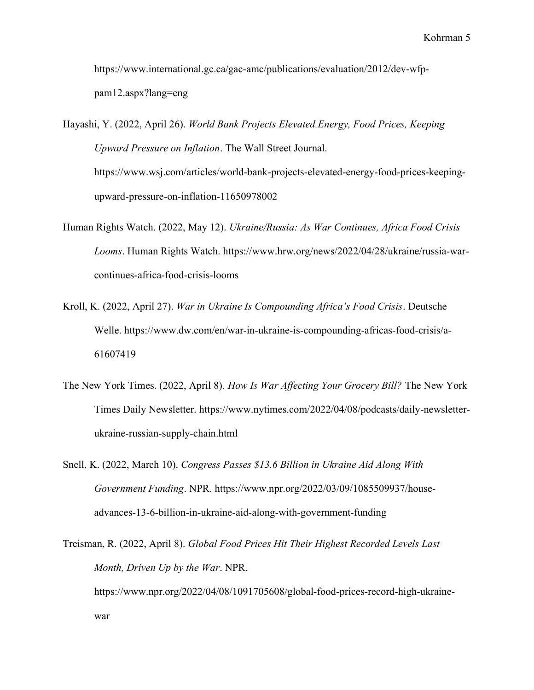https://www.international.gc.ca/gac-amc/publications/evaluation/2012/dev-wfppam12.aspx?lang=eng

Hayashi, Y. (2022, April 26). World Bank Projects Elevated Energy, Food Prices, Keeping Upward Pressure on Inflation. The Wall Street Journal. https://www.wsj.com/articles/world-bank-projects-elevated-energy-food-prices-keepingupward-pressure-on-inflation-11650978002

- Human Rights Watch. (2022, May 12). Ukraine/Russia: As War Continues, Africa Food Crisis Looms. Human Rights Watch. https://www.hrw.org/news/2022/04/28/ukraine/russia-warcontinues-africa-food-crisis-looms
- Kroll, K. (2022, April 27). War in Ukraine Is Compounding Africa's Food Crisis. Deutsche Welle. https://www.dw.com/en/war-in-ukraine-is-compounding-africas-food-crisis/a-61607419
- The New York Times. (2022, April 8). How Is War Affecting Your Grocery Bill? The New York Times Daily Newsletter. https://www.nytimes.com/2022/04/08/podcasts/daily-newsletterukraine-russian-supply-chain.html
- Snell, K. (2022, March 10). Congress Passes \$13.6 Billion in Ukraine Aid Along With Government Funding. NPR. https://www.npr.org/2022/03/09/1085509937/houseadvances-13-6-billion-in-ukraine-aid-along-with-government-funding

Treisman, R. (2022, April 8). Global Food Prices Hit Their Highest Recorded Levels Last Month, Driven Up by the War. NPR. https://www.npr.org/2022/04/08/1091705608/global-food-prices-record-high-ukrainewar